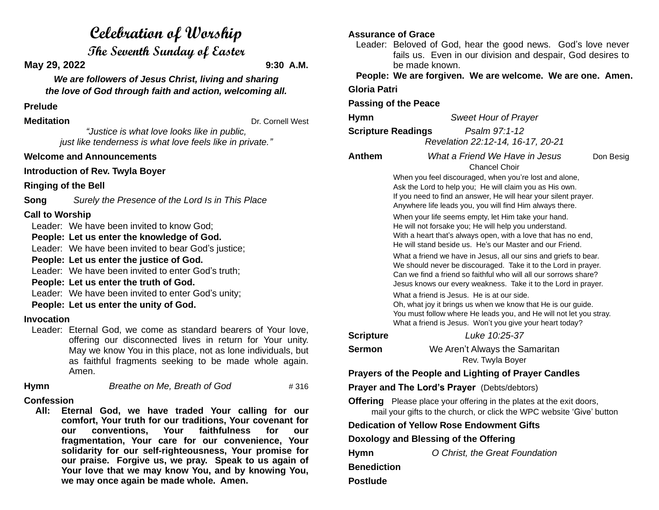# **Celebration of Worship**

**The Seventh Sunday of Easter**

**May 29, 2022 9:30 A.M.**

*We are followers of Jesus Christ, living and sharing the love of God through faith and action, welcoming all.*

### **Prelude**

**Meditation** Dr. Cornell West

*"Justice is what love looks like in public, just like tenderness is what love feels like in private."*

## **Welcome and Announcements**

**Introduction of Rev. Twyla Boyer**

**Ringing of the Bell**

**Song** *Surely the Presence of the Lord Is in This Place*

# **Call to Worship**

Leader: We have been invited to know God;

**People: Let us enter the knowledge of God.**

Leader: We have been invited to bear God's justice;

**People: Let us enter the justice of God.**

Leader: We have been invited to enter God's truth:

#### **People: Let us enter the truth of God.**

Leader: We have been invited to enter God's unity:

#### **People: Let us enter the unity of God.**

#### **Invocation**

Leader: Eternal God, we come as standard bearers of Your love, offering our disconnected lives in return for Your unity. May we know You in this place, not as lone individuals, but as faithful fragments seeking to be made whole again. Amen.

**Hymn** *Breathe on Me, Breath of God* # 316

# **Confession**

 **All: Eternal God, we have traded Your calling for our comfort, Your truth for our traditions, Your covenant for our conventions, Your faithfulness for our fragmentation, Your care for our convenience, Your solidarity for our self-righteousness, Your promise for our praise. Forgive us, we pray. Speak to us again of Your love that we may know You, and by knowing You, we may once again be made whole. Amen.**

# **Assurance of Grace**

Leader: Beloved of God, hear the good news. God's love never fails us. Even in our division and despair, God desires to be made known.

**People: We are forgiven. We are welcome. We are one. Amen.**

**Gloria Patri**

#### **Passing of the Peace**

**Hymn** *Sweet Hour of Prayer*

**Scripture Readings** *Psalm 97:1-12 Revelation 22:12-14, 16-17, 20-21*

Chancel Choir

**Anthem** *What a Friend We Have in Jesus* Don Besig

When you feel discouraged, when you're lost and alone, Ask the Lord to help you; He will claim you as His own. If you need to find an answer, He will hear your silent prayer. Anywhere life leads you, you will find Him always there.

When your life seems empty, let Him take your hand. He will not forsake you; He will help you understand. With a heart that's always open, with a love that has no end, He will stand beside us. He's our Master and our Friend.

What a friend we have in Jesus, all our sins and griefs to bear. We should never be discouraged. Take it to the Lord in prayer. Can we find a friend so faithful who will all our sorrows share? Jesus knows our every weakness. Take it to the Lord in prayer.

What a friend is Jesus. He is at our side. Oh, what joy it brings us when we know that He is our guide. You must follow where He leads you, and He will not let you stray. What a friend is Jesus. Won't you give your heart today?

**Scripture** *Luke 10:25-37*

**Sermon** We Aren't Always the Samaritan

Rev. Twyla Boyer

# **Prayers of the People and Lighting of Prayer Candles**

# **Prayer and The Lord's Prayer** (Debts/debtors)

**Offering** Please place your offering in the plates at the exit doors, mail your gifts to the church, or click the WPC website 'Give' button

# **Dedication of Yellow Rose Endowment Gifts**

# **Doxology and Blessing of the Offering**

**Hymn** *O Christ, the Great Foundation* **Benediction Postlude**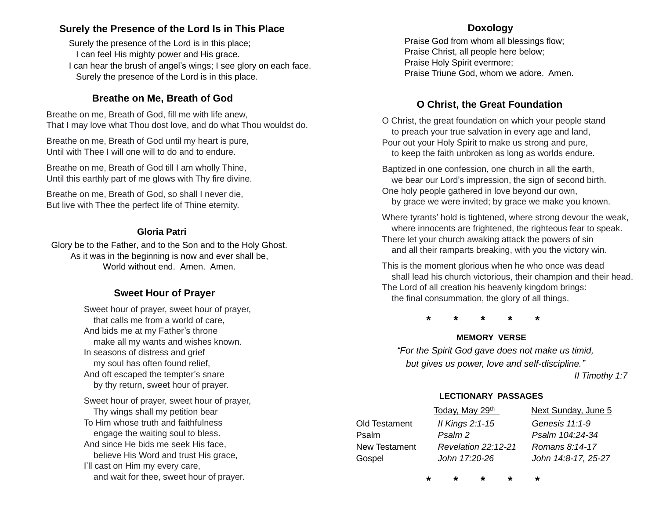# **Surely the Presence of the Lord Is in This Place**

Surely the presence of the Lord is in this place; I can feel His mighty power and His grace. I can hear the brush of angel's wings; I see glory on each face. Surely the presence of the Lord is in this place.

# **Breathe on Me, Breath of God**

Breathe on me, Breath of God, fill me with life anew, That I may love what Thou dost love, and do what Thou wouldst do.

Breathe on me, Breath of God until my heart is pure, Until with Thee I will one will to do and to endure.

Breathe on me, Breath of God till I am wholly Thine, Until this earthly part of me glows with Thy fire divine.

Breathe on me, Breath of God, so shall I never die, But live with Thee the perfect life of Thine eternity.

#### **Gloria Patri**

Glory be to the Father, and to the Son and to the Holy Ghost. As it was in the beginning is now and ever shall be, World without end. Amen. Amen.

# **Sweet Hour of Prayer**

Sweet hour of prayer, sweet hour of prayer, that calls me from a world of care, And bids me at my Father's throne make all my wants and wishes known. In seasons of distress and grief my soul has often found relief, And oft escaped the tempter's snare by thy return, sweet hour of prayer.

Sweet hour of prayer, sweet hour of prayer, Thy wings shall my petition bear To Him whose truth and faithfulness engage the waiting soul to bless. And since He bids me seek His face, believe His Word and trust His grace, I'll cast on Him my every care, and wait for thee, sweet hour of prayer.

#### **Doxology**

Praise God from whom all blessings flow; Praise Christ, all people here below; Praise Holy Spirit evermore; Praise Triune God, whom we adore. Amen.

# **O Christ, the Great Foundation**

O Christ, the great foundation on which your people stand to preach your true salvation in every age and land, Pour out your Holy Spirit to make us strong and pure, to keep the faith unbroken as long as worlds endure.

Baptized in one confession, one church in all the earth, we bear our Lord's impression, the sign of second birth. One holy people gathered in love beyond our own,

by grace we were invited; by grace we make you known.

Where tyrants' hold is tightened, where strong devour the weak, where innocents are frightened, the righteous fear to speak. There let your church awaking attack the powers of sin and all their ramparts breaking, with you the victory win.

This is the moment glorious when he who once was dead shall lead his church victorious, their champion and their head. The Lord of all creation his heavenly kingdom brings: the final consummation, the glory of all things.

**\* \* \* \* \***

#### **MEMORY VERSE**

*"For the Spirit God gave does not make us timid, but gives us power, love and self-discipline."*

 *II Timothy 1:7*

#### **LECTIONARY PASSAGES**

|               | Today, May 29th            | Next Sunday, June 5 |
|---------------|----------------------------|---------------------|
| Old Testament | Il Kings $2:1-15$          | Genesis 11:1-9      |
| Psalm         | Psalm 2                    | Psalm 104:24-34     |
| New Testament | <b>Revelation 22:12-21</b> | Romans 8:14-17      |
| Gospel        | John 17:20-26              | John 14:8-17, 25-27 |
|               |                            |                     |

**\* \* \* \* \***